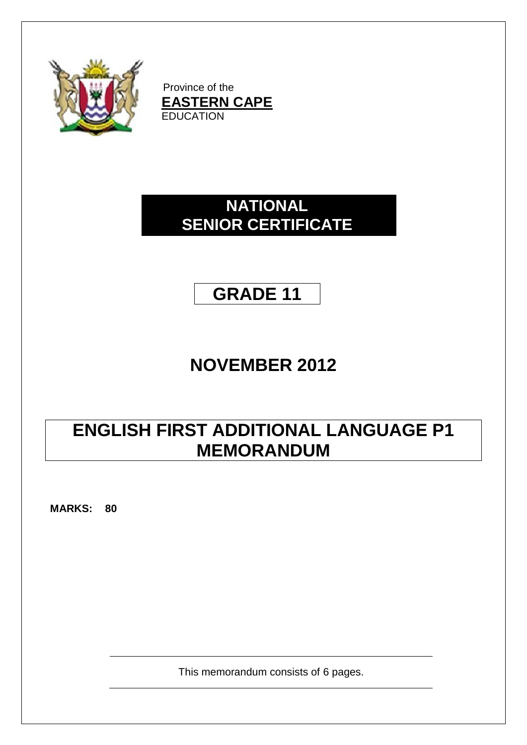

Province of the **EASTERN CAPE EDUCATION** 

# **NATIONAL SENIOR CERTIFICATE**

# **GRADE 11**

# **NOVEMBER 2012**

# **ENGLISH FIRST ADDITIONAL LANGUAGE P1 MEMORANDUM**

**MARKS: 80**

This memorandum consists of 6 pages.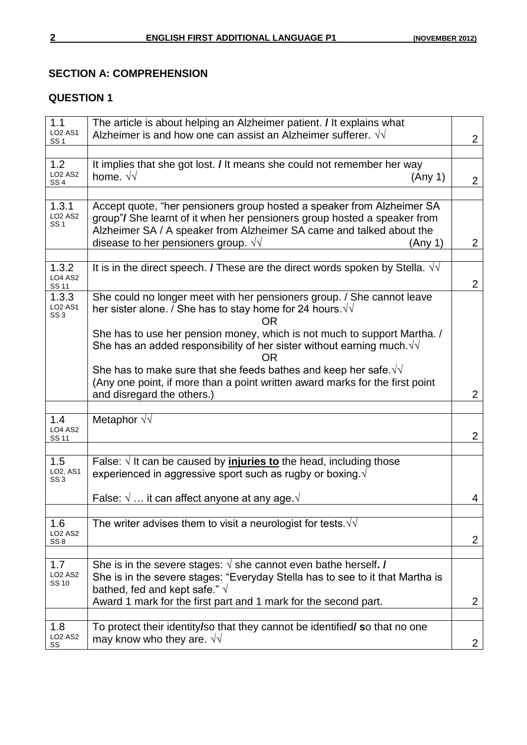#### **SECTION A: COMPREHENSION**

## **QUESTION 1**

| 1.1<br><b>LO2 AS1</b><br>SS 1     | The article is about helping an Alzheimer patient. / It explains what<br>Alzheimer is and how one can assist an Alzheimer sufferer. $\sqrt{v}$                                                                             | $\overline{2}$ |
|-----------------------------------|----------------------------------------------------------------------------------------------------------------------------------------------------------------------------------------------------------------------------|----------------|
|                                   |                                                                                                                                                                                                                            |                |
| 1.2<br><b>LO2 AS2</b><br>SS 4     | It implies that she got lost. I It means she could not remember her way<br>home. $\sqrt{v}$<br>(Any 1)                                                                                                                     | 2 <sup>1</sup> |
|                                   |                                                                                                                                                                                                                            |                |
| 1.3.1<br><b>LO2 AS2</b><br>SS 1   | Accept quote, "her pensioners group hosted a speaker from Alzheimer SA<br>group"/ She learnt of it when her pensioners group hosted a speaker from<br>Alzheimer SA / A speaker from Alzheimer SA came and talked about the |                |
|                                   | disease to her pensioners group. $\sqrt{v}$<br>(Any 1)                                                                                                                                                                     | $\overline{2}$ |
|                                   |                                                                                                                                                                                                                            |                |
| 1.3.2<br><b>LO4 AS2</b><br>SS 11  | It is in the direct speech. <i>I</i> These are the direct words spoken by Stella. $\sqrt{v}$                                                                                                                               | $\overline{2}$ |
| 1.3.3<br><b>LO2 AS1</b><br>SS 3   | She could no longer meet with her pensioners group. / She cannot leave<br>her sister alone. / She has to stay home for 24 hours. $\sqrt{v}$<br>ΩR                                                                          |                |
|                                   | She has to use her pension money, which is not much to support Martha. /<br>She has an added responsibility of her sister without earning much. $\sqrt{v}$<br><b>OR</b>                                                    |                |
|                                   | She has to make sure that she feeds bathes and keep her safe. $\sqrt{v}$<br>(Any one point, if more than a point written award marks for the first point<br>and disregard the others.)                                     | $\overline{2}$ |
|                                   |                                                                                                                                                                                                                            |                |
| 1.4                               | Metaphor $\sqrt{v}$                                                                                                                                                                                                        |                |
| <b>LO4 AS2</b><br><b>SS 11</b>    |                                                                                                                                                                                                                            | $\overline{2}$ |
|                                   |                                                                                                                                                                                                                            |                |
| 1.5<br>LO2, AS1<br>SS 3           | False: $\sqrt{ }$ It can be caused by <i>injuries to</i> the head, including those<br>experienced in aggressive sport such as rugby or boxing. $\sqrt{ }$                                                                  |                |
|                                   | False: $\sqrt{ } \dots$ it can affect anyone at any age. $\sqrt{ }$                                                                                                                                                        | 4              |
| 1.6                               | The writer advises them to visit a neurologist for tests. $\sqrt{v}$                                                                                                                                                       |                |
| <b>LO2 AS2</b><br>SS <sub>8</sub> |                                                                                                                                                                                                                            | $\mathbf{2}$   |
|                                   |                                                                                                                                                                                                                            |                |
| 1.7<br><b>LO2 AS2</b><br>SS 10    | She is in the severe stages: $\sqrt{ }$ she cannot even bathe herself. /<br>She is in the severe stages: "Everyday Stella has to see to it that Martha is<br>bathed, fed and kept safe." $\sqrt{ }$                        |                |
|                                   | Award 1 mark for the first part and 1 mark for the second part.                                                                                                                                                            | $\overline{2}$ |
|                                   |                                                                                                                                                                                                                            |                |
| 1.8<br><b>LO2 AS2</b><br>SS       | To protect their identity/so that they cannot be identified/ so that no one<br>may know who they are. $\sqrt{v}$                                                                                                           | $\mathbf{2}$   |
|                                   |                                                                                                                                                                                                                            |                |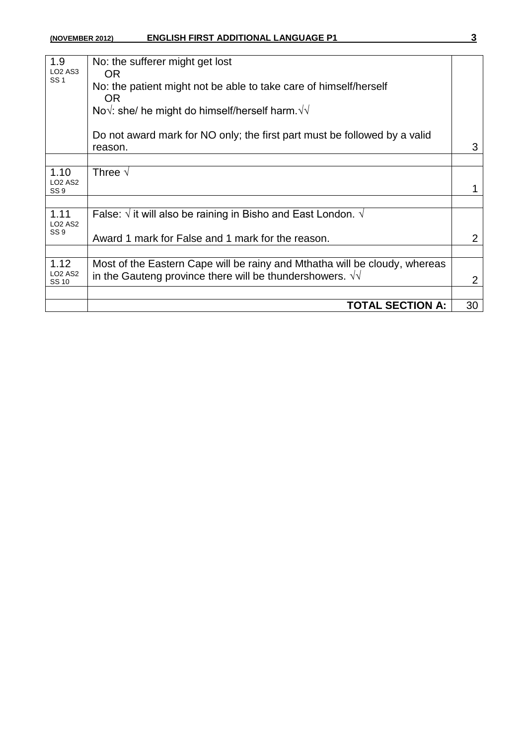### **(NOVEMBER 2012) ENGLISH FIRST ADDITIONAL LANGUAGE P1 3**

| o e<br>I |
|----------|
|          |

| 1.9                               | No: the sufferer might get lost                                                |                |  |  |  |
|-----------------------------------|--------------------------------------------------------------------------------|----------------|--|--|--|
| <b>LO2 AS3</b><br><b>SS1</b>      | OR.                                                                            |                |  |  |  |
|                                   | No: the patient might not be able to take care of himself/herself<br>OR.       |                |  |  |  |
|                                   | No $\sqrt{ }$ : she/ he might do himself/herself harm. $\sqrt{ }$              |                |  |  |  |
|                                   |                                                                                |                |  |  |  |
|                                   | Do not award mark for NO only; the first part must be followed by a valid      |                |  |  |  |
|                                   | reason.                                                                        | 3              |  |  |  |
|                                   |                                                                                |                |  |  |  |
| 1.10                              | Three $\sqrt{}$                                                                |                |  |  |  |
| <b>LO2 AS2</b><br>SS <sub>9</sub> |                                                                                | 1              |  |  |  |
|                                   |                                                                                |                |  |  |  |
| 1.11                              | False: $\sqrt{ }$ it will also be raining in Bisho and East London. $\sqrt{ }$ |                |  |  |  |
| <b>LO2 AS2</b>                    |                                                                                |                |  |  |  |
| SS <sub>9</sub>                   | Award 1 mark for False and 1 mark for the reason.                              | $\overline{2}$ |  |  |  |
|                                   |                                                                                |                |  |  |  |
| 1.12                              | Most of the Eastern Cape will be rainy and Mthatha will be cloudy, whereas     |                |  |  |  |
| <b>LO2 AS2</b><br>SS 10           | in the Gauteng province there will be thundershowers. $\sqrt{v}$               | $\overline{2}$ |  |  |  |
|                                   |                                                                                |                |  |  |  |
|                                   | <b>TOTAL SECTION A:</b>                                                        | 30             |  |  |  |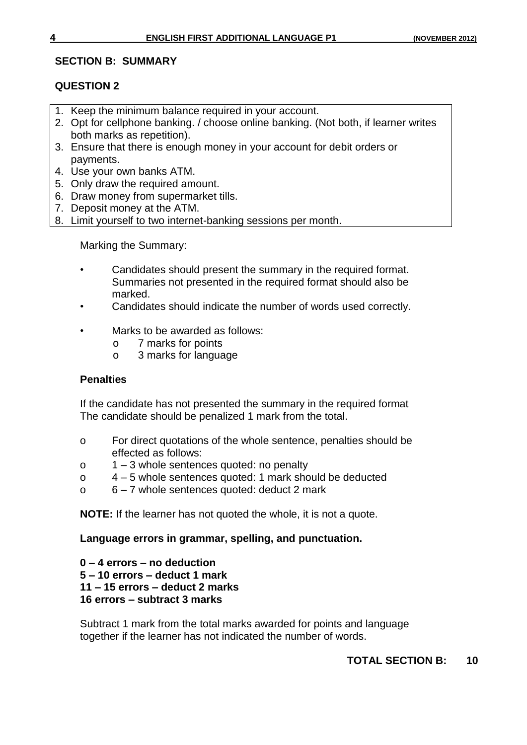### **SECTION B: SUMMARY**

## **QUESTION 2**

- 1. Keep the minimum balance required in your account.
- 2. Opt for cellphone banking. / choose online banking. (Not both, if learner writes both marks as repetition).
- 3. Ensure that there is enough money in your account for debit orders or payments.
- 4. Use your own banks ATM.
- 5. Only draw the required amount.
- 6. Draw money from supermarket tills.
- 7. Deposit money at the ATM.
- 8. Limit yourself to two internet-banking sessions per month.

Marking the Summary:

- Candidates should present the summary in the required format. Summaries not presented in the required format should also be marked.
- Candidates should indicate the number of words used correctly.
- Marks to be awarded as follows:
	- o 7 marks for points
	- o 3 marks for language

#### **Penalties**

If the candidate has not presented the summary in the required format The candidate should be penalized 1 mark from the total.

- o For direct quotations of the whole sentence, penalties should be effected as follows:
- o 1 3 whole sentences quoted: no penalty
- o 4 5 whole sentences quoted: 1 mark should be deducted
- o 6 7 whole sentences quoted: deduct 2 mark

**NOTE:** If the learner has not quoted the whole, it is not a quote.

### **Language errors in grammar, spelling, and punctuation.**

 **– 4 errors – no deduction – 10 errors – deduct 1 mark – 15 errors – deduct 2 marks 16 errors – subtract 3 marks**

Subtract 1 mark from the total marks awarded for points and language together if the learner has not indicated the number of words.

### **TOTAL SECTION B: 10**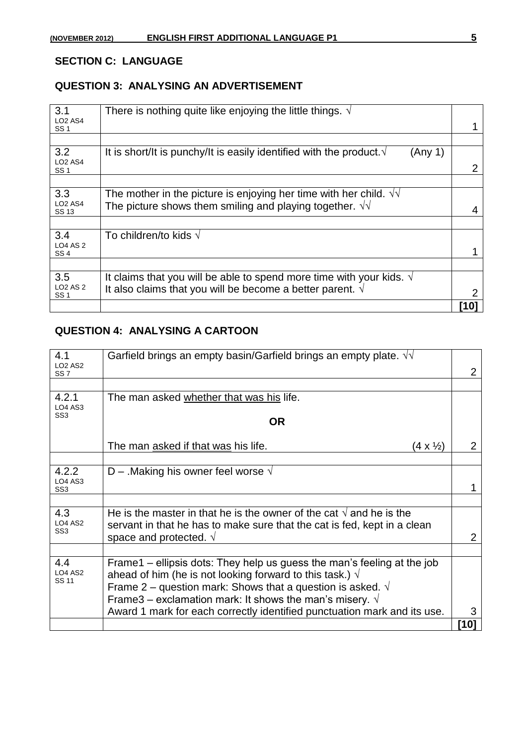### **SECTION C: LANGUAGE**

### **QUESTION 3: ANALYSING AN ADVERTISEMENT**

| 3.1<br><b>LO2 AS4</b><br><b>SS1</b>   | There is nothing quite like enjoying the little things. $\sqrt{ }$                                                                           |      |
|---------------------------------------|----------------------------------------------------------------------------------------------------------------------------------------------|------|
|                                       |                                                                                                                                              |      |
| 3.2<br><b>LO2 AS4</b><br><b>SS1</b>   | It is short/It is punchy/It is easily identified with the product $\sqrt{ }$<br>(Any 1)                                                      |      |
|                                       |                                                                                                                                              |      |
| 3.3<br><b>LO2 AS4</b><br><b>SS 13</b> | The mother in the picture is enjoying her time with her child. $\sqrt{v}$<br>The picture shows them smiling and playing together. $\sqrt{d}$ |      |
|                                       |                                                                                                                                              |      |
| 3.4                                   | To children/to kids $\sqrt{ }$                                                                                                               |      |
| <b>LO4 AS 2</b><br>SS <sub>4</sub>    |                                                                                                                                              |      |
|                                       |                                                                                                                                              |      |
| 3.5                                   | It claims that you will be able to spend more time with your kids. $\sqrt{ }$                                                                |      |
| <b>LO2 AS 2</b><br>SS <sub>1</sub>    | It also claims that you will be become a better parent. $\sqrt{ }$                                                                           |      |
|                                       |                                                                                                                                              | [10] |

# **QUESTION 4: ANALYSING A CARTOON**

| 4.1<br>LO <sub>2</sub> A <sub>S2</sub>     | Garfield brings an empty basin/Garfield brings an empty plate. $\sqrt{v}$                                                                                |      |
|--------------------------------------------|----------------------------------------------------------------------------------------------------------------------------------------------------------|------|
| SS <sub>7</sub>                            |                                                                                                                                                          |      |
|                                            |                                                                                                                                                          |      |
| 4.2.1<br><b>LO4 AS3</b>                    | The man asked whether that was his life.                                                                                                                 |      |
| SS <sub>3</sub>                            | 0R                                                                                                                                                       |      |
|                                            | The man asked if that was his life.<br>$(4 \times \frac{1}{2})$                                                                                          | 2    |
|                                            |                                                                                                                                                          |      |
| 4.2.2<br><b>LO4 AS3</b><br>SS <sub>3</sub> | D – Making his owner feel worse $\sqrt{ }$                                                                                                               |      |
|                                            |                                                                                                                                                          |      |
| 4.3<br><b>LO4 AS2</b>                      | He is the master in that he is the owner of the cat $\sqrt{ }$ and he is the<br>servant in that he has to make sure that the cat is fed, kept in a clean |      |
| SS <sub>3</sub>                            | space and protected. $\sqrt{ }$                                                                                                                          | 2    |
|                                            |                                                                                                                                                          |      |
| 4.4<br><b>LO4 AS2</b>                      | Frame1 – ellipsis dots: They help us guess the man's feeling at the job<br>ahead of him (he is not looking forward to this task.) $\sqrt{ }$             |      |
| <b>SS 11</b>                               | Frame 2 – question mark: Shows that a question is asked. $\sqrt{ }$                                                                                      |      |
|                                            | Frame 3 – exclamation mark: It shows the man's misery. $\sqrt{ }$                                                                                        |      |
|                                            | Award 1 mark for each correctly identified punctuation mark and its use.                                                                                 | 3    |
|                                            |                                                                                                                                                          | [10] |